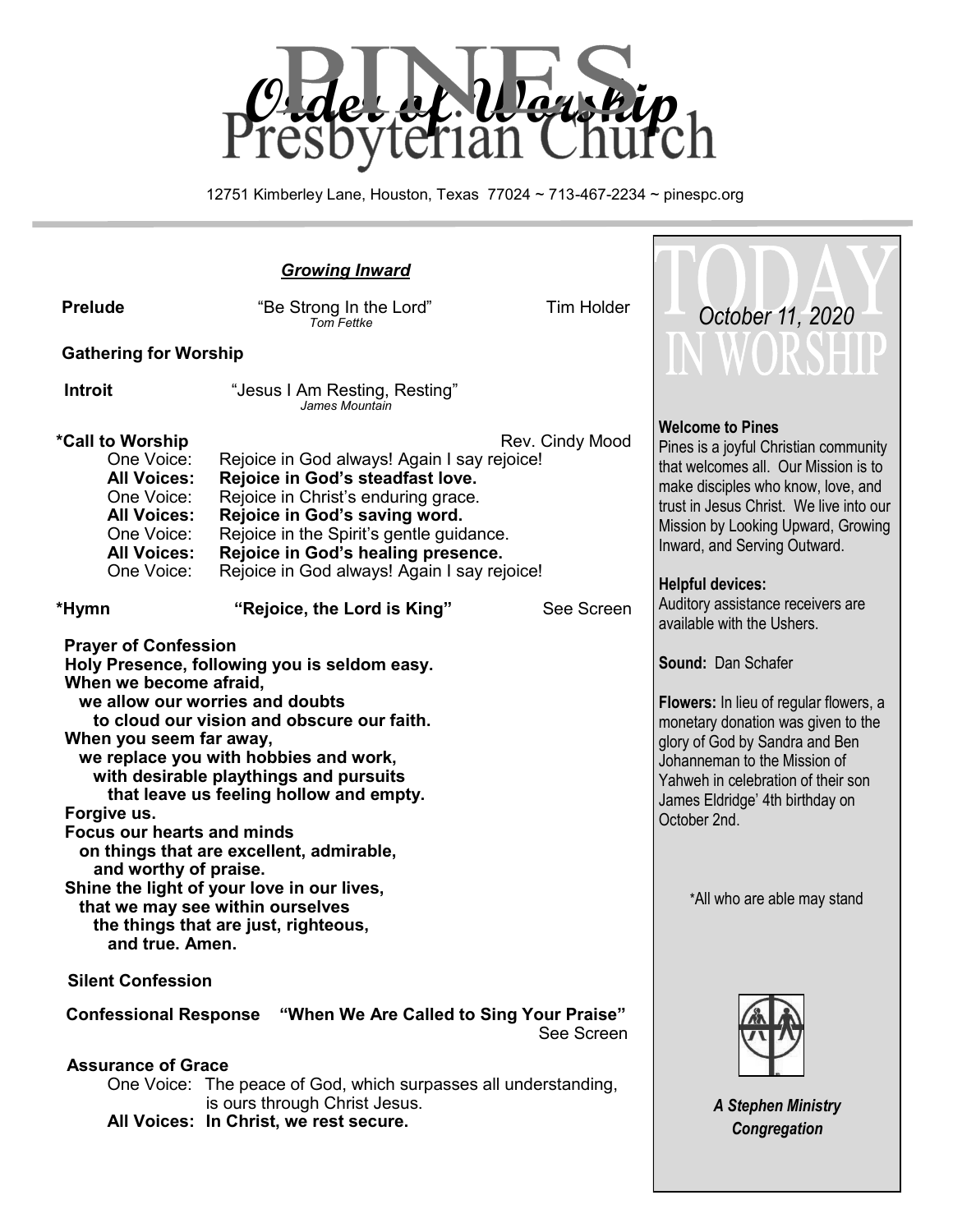

12751 Kimberley Lane, Houston, Texas 77024 ~ 713-467-2234 ~ pinespc.org

| <b>Prelude</b>                                                                                                                                                                                                                                                                                                                                                                                                                                                                                                                                                                                                        | "Be Strong In the Lord"<br><b>Tom Fettke</b>                                                                                                                                                                                                                                             | <b>Tim Holder</b> | October 11, 2020                                                                                                                                                                                                                                                                             |
|-----------------------------------------------------------------------------------------------------------------------------------------------------------------------------------------------------------------------------------------------------------------------------------------------------------------------------------------------------------------------------------------------------------------------------------------------------------------------------------------------------------------------------------------------------------------------------------------------------------------------|------------------------------------------------------------------------------------------------------------------------------------------------------------------------------------------------------------------------------------------------------------------------------------------|-------------------|----------------------------------------------------------------------------------------------------------------------------------------------------------------------------------------------------------------------------------------------------------------------------------------------|
| <b>Gathering for Worship</b>                                                                                                                                                                                                                                                                                                                                                                                                                                                                                                                                                                                          |                                                                                                                                                                                                                                                                                          |                   |                                                                                                                                                                                                                                                                                              |
| <b>Introit</b>                                                                                                                                                                                                                                                                                                                                                                                                                                                                                                                                                                                                        | "Jesus I Am Resting, Resting"<br>James Mountain                                                                                                                                                                                                                                          |                   |                                                                                                                                                                                                                                                                                              |
| *Call to Worship<br>One Voice:<br><b>All Voices:</b><br>One Voice:<br><b>All Voices:</b><br>One Voice:<br><b>All Voices:</b><br>One Voice:                                                                                                                                                                                                                                                                                                                                                                                                                                                                            | Rejoice in God always! Again I say rejoice!<br>Rejoice in God's steadfast love.<br>Rejoice in Christ's enduring grace.<br>Rejoice in God's saving word.<br>Rejoice in the Spirit's gentle guidance.<br>Rejoice in God's healing presence.<br>Rejoice in God always! Again I say rejoice! | Rev. Cindy Mood   | <b>Welcome to Pines</b><br>Pines is a joyful Christian community<br>that welcomes all. Our Mission is to<br>make disciples who know, love, and<br>trust in Jesus Christ. We live into our<br>Mission by Looking Upward, Growing<br>Inward, and Serving Outward.<br><b>Helpful devices:</b>   |
| *Hymn                                                                                                                                                                                                                                                                                                                                                                                                                                                                                                                                                                                                                 | "Rejoice, the Lord is King"                                                                                                                                                                                                                                                              | See Screen        | Auditory assistance receivers are<br>available with the Ushers.                                                                                                                                                                                                                              |
| <b>Prayer of Confession</b><br>Holy Presence, following you is seldom easy.<br>When we become afraid,<br>we allow our worries and doubts<br>to cloud our vision and obscure our faith.<br>When you seem far away,<br>we replace you with hobbies and work,<br>with desirable playthings and pursuits<br>that leave us feeling hollow and empty.<br>Forgive us.<br><b>Focus our hearts and minds</b><br>on things that are excellent, admirable,<br>and worthy of praise.<br>Shine the light of your love in our lives,<br>that we may see within ourselves<br>the things that are just, righteous,<br>and true. Amen. |                                                                                                                                                                                                                                                                                          |                   | Sound: Dan Schafer<br>Flowers: In lieu of regular flowers, a<br>monetary donation was given to the<br>glory of God by Sandra and Ben<br>Johanneman to the Mission of<br>Yahweh in celebration of their son<br>James Eldridge' 4th birthday on<br>October 2nd.<br>*All who are able may stand |
| <b>Silent Confession</b>                                                                                                                                                                                                                                                                                                                                                                                                                                                                                                                                                                                              |                                                                                                                                                                                                                                                                                          |                   |                                                                                                                                                                                                                                                                                              |
| <b>Confessional Response</b><br><b>Assurance of Grace</b>                                                                                                                                                                                                                                                                                                                                                                                                                                                                                                                                                             | "When We Are Called to Sing Your Praise"<br>One Voice: The peace of God, which surpasses all understanding,<br>is ours through Christ Jesus.<br>All Voices: In Christ, we rest secure.                                                                                                   | See Screen        | <b>A Stephen Ministry</b><br>Congregation                                                                                                                                                                                                                                                    |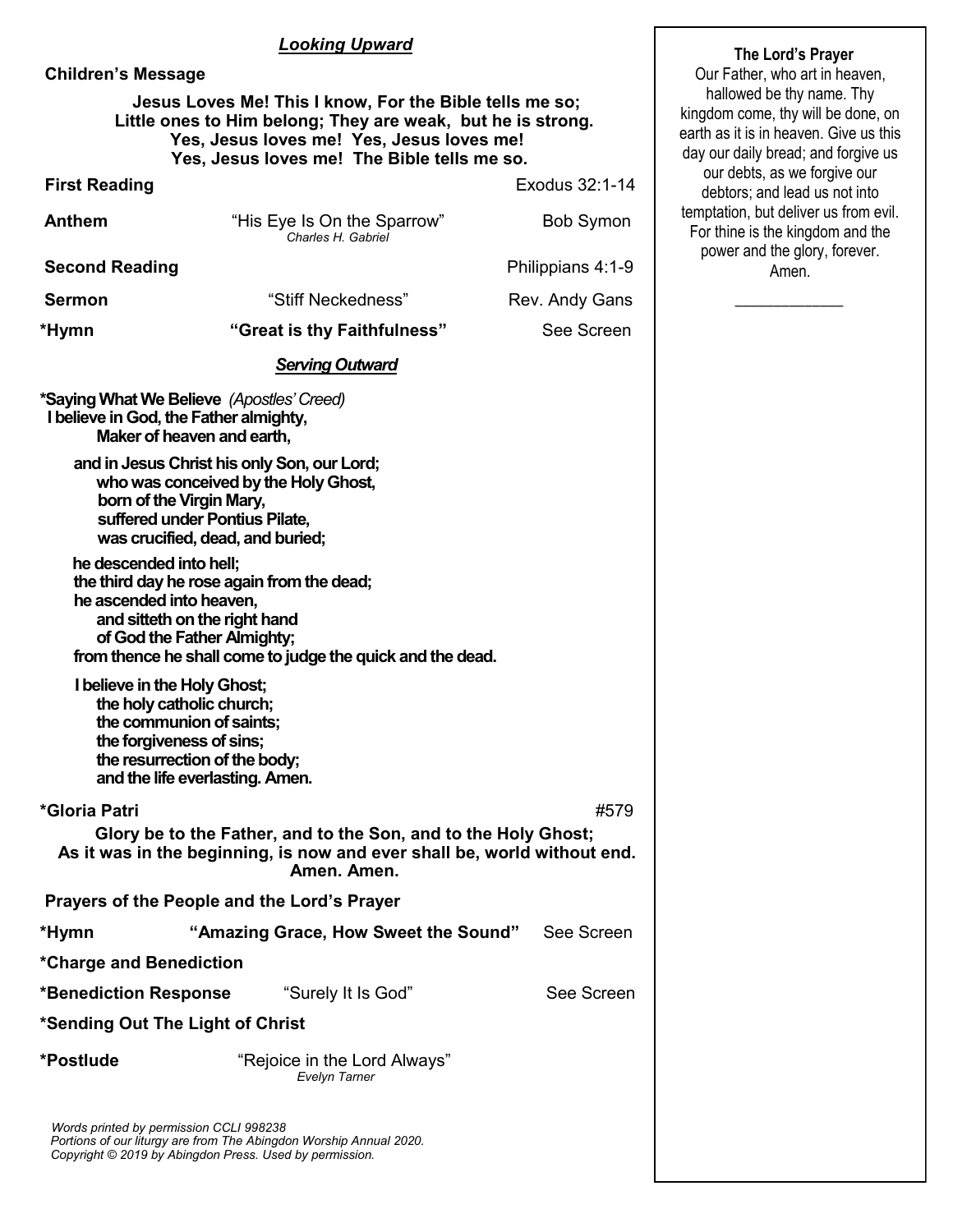#### *Looking Upward*

|                           | The Lord's Prayer                                                                                                                                                                                                  |                   |                                                                                                                                                  |
|---------------------------|--------------------------------------------------------------------------------------------------------------------------------------------------------------------------------------------------------------------|-------------------|--------------------------------------------------------------------------------------------------------------------------------------------------|
| <b>Children's Message</b> |                                                                                                                                                                                                                    |                   | Our Father, who art in heaven,                                                                                                                   |
|                           | Jesus Loves Me! This I know, For the Bible tells me so;<br>Little ones to Him belong; They are weak, but he is strong.<br>Yes, Jesus loves me! Yes, Jesus loves me!<br>Yes, Jesus loves me! The Bible tells me so. |                   | hallowed be thy name. Thy<br>kingdom come, thy will be done, on<br>earth as it is in heaven. Give us this<br>day our daily bread; and forgive us |
| <b>First Reading</b>      |                                                                                                                                                                                                                    | Exodus 32:1-14    | our debts, as we forgive our<br>debtors; and lead us not into                                                                                    |
| <b>Anthem</b>             | "His Eye Is On the Sparrow"<br>Charles H. Gabriel                                                                                                                                                                  | <b>Bob Symon</b>  | temptation, but deliver us from evil.<br>For thine is the kingdom and the                                                                        |
| <b>Second Reading</b>     |                                                                                                                                                                                                                    | Philippians 4:1-9 | power and the glory, forever.<br>Amen.                                                                                                           |
| <b>Sermon</b>             | "Stiff Neckedness"                                                                                                                                                                                                 | Rev. Andy Gans    |                                                                                                                                                  |
| *Hymn                     | "Great is thy Faithfulness"                                                                                                                                                                                        | See Screen        |                                                                                                                                                  |
|                           | <b>Serving Outward</b>                                                                                                                                                                                             |                   |                                                                                                                                                  |
|                           | *Saying What We Believe (Apostles' Creed)<br>I believe in God, the Father almighty,<br>Maker of heaven and earth,                                                                                                  |                   |                                                                                                                                                  |
|                           | and in Jesus Christ his only Son, our Lord;<br>who was conceived by the Holy Ghost,<br>born of the Virgin Mary,<br>suffered under Pontius Pilate,<br>was crucified, dead, and buried;                              |                   |                                                                                                                                                  |
| he descended into hell;   | the third day he rose again from the dead;<br>he ascended into heaven,<br>and sitteth on the right hand<br>of God the Father Almighty;<br>from thence he shall come to judge the quick and the dead.               |                   |                                                                                                                                                  |
|                           | I believe in the Holy Ghost;<br>the holy catholic church;<br>the communion of saints;<br>the forgiveness of sins;<br>the resurrection of the body;<br>and the life everlasting. Amen.                              |                   |                                                                                                                                                  |
| *Gloria Patri             |                                                                                                                                                                                                                    | #579              |                                                                                                                                                  |
|                           | Glory be to the Father, and to the Son, and to the Holy Ghost;<br>As it was in the beginning, is now and ever shall be, world without end.<br>Amen. Amen.                                                          |                   |                                                                                                                                                  |
|                           | Prayers of the People and the Lord's Prayer                                                                                                                                                                        |                   |                                                                                                                                                  |
| *Hymn                     | "Amazing Grace, How Sweet the Sound"                                                                                                                                                                               | See Screen        |                                                                                                                                                  |
| *Charge and Benediction   |                                                                                                                                                                                                                    |                   |                                                                                                                                                  |
| *Benediction Response     | "Surely It Is God"                                                                                                                                                                                                 | See Screen        |                                                                                                                                                  |
|                           | *Sending Out The Light of Christ                                                                                                                                                                                   |                   |                                                                                                                                                  |
| *Postlude                 | "Rejoice in the Lord Always"<br>Evelyn Tarner                                                                                                                                                                      |                   |                                                                                                                                                  |
|                           | Words printed by permission CCLI 998238<br>$l$ iturawang profram The Abinaden Warehin Annual                                                                                                                       |                   |                                                                                                                                                  |

 *Portions of our liturgy are from The Abingdon Worship Annual 2020. Copyright © 2019 by Abingdon Press. Used by permission.*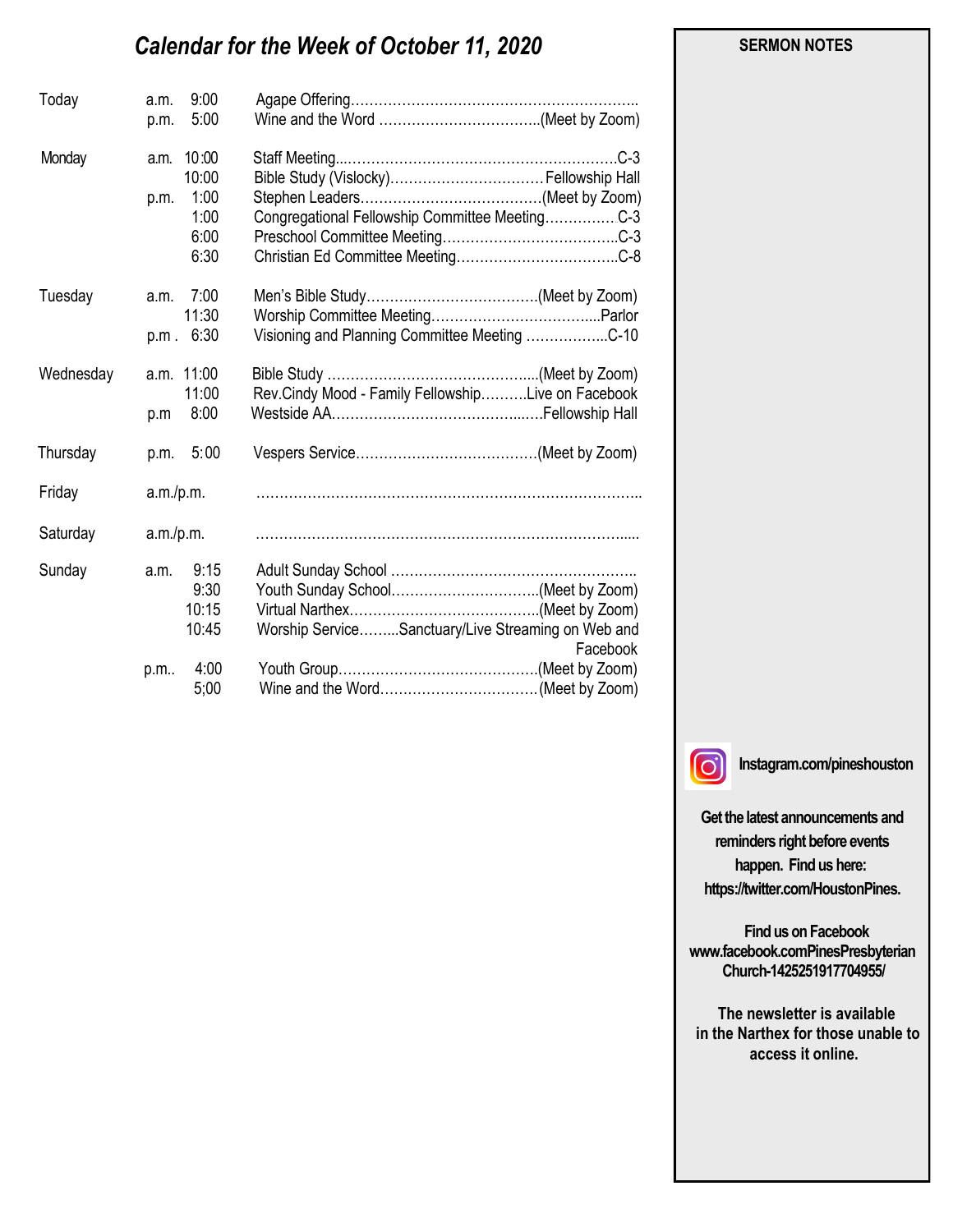# *Calendar for the Week of October 11, 2020*

| Today     | a.m.<br>p.m. | 9:00<br>5:00                                   |                                                                |
|-----------|--------------|------------------------------------------------|----------------------------------------------------------------|
| Monday    | a.m.<br>p.m. | 10:00<br>10:00<br>1:00<br>1:00<br>6:00<br>6:30 | Congregational Fellowship Committee MeetingC-3                 |
| Tuesday   | a.m.<br>p.m. | 7:00<br>11:30<br>6:30                          | Visioning and Planning Committee Meeting C-10                  |
| Wednesday | p.m          | a.m. 11:00<br>11:00<br>8:00                    | Rev.Cindy Mood - Family FellowshipLive on Facebook             |
| Thursday  |              | p.m. 5:00                                      |                                                                |
| Friday    | a.m./p.m.    |                                                |                                                                |
| Saturday  | a.m./p.m.    |                                                |                                                                |
| Sunday    | a.m.<br>p.m  | 9:15<br>9:30<br>10:15<br>10:45<br>4:00<br>5:00 | Worship ServiceSanctuary/Live Streaming on Web and<br>Facebook |

#### **SERMON NOTES**

 $\Omega$ 

**Instagram.com/pineshouston**

**Get the latest announcements and reminders right before events happen. Find us here: https://twitter.com/HoustonPines.** 

 **Find us on Facebook www.facebook.comPinesPresbyterian Church-1425251917704955/**

 **The newsletter is available in the Narthex for those unable to access it online.**